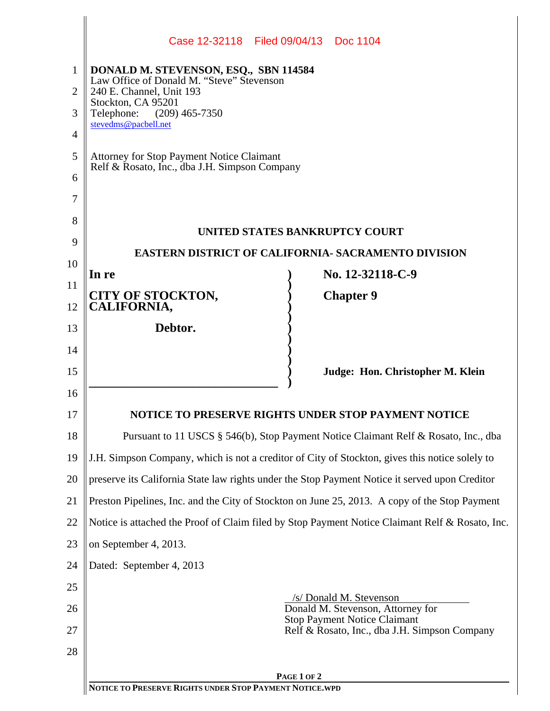|    | Case 12-32118   Filed 09/04/13   Doc 1104                                                       |
|----|-------------------------------------------------------------------------------------------------|
| 1  | DONALD M. STEVENSON, ESQ., SBN 114584                                                           |
| 2  | Law Office of Donald M. "Steve" Stevenson<br>240 E. Channel, Unit 193                           |
| 3  | Stockton, CA 95201<br>Telephone: (209) 465-7350                                                 |
| 4  | stevedms@pacbell.net                                                                            |
| 5  | <b>Attorney for Stop Payment Notice Claimant</b>                                                |
| 6  | Relf & Rosato, Inc., dba J.H. Simpson Company                                                   |
| 7  |                                                                                                 |
| 8  |                                                                                                 |
| 9  | UNITED STATES BANKRUPTCY COURT                                                                  |
| 10 | <b>EASTERN DISTRICT OF CALIFORNIA- SACRAMENTO DIVISION</b>                                      |
| 11 | No. 12-32118-C-9<br>In re                                                                       |
| 12 | <b>CITY OF STOCKTON,</b><br><b>Chapter 9</b><br>CALIFORNIA,                                     |
| 13 | Debtor.                                                                                         |
| 14 |                                                                                                 |
| 15 | Judge: Hon. Christopher M. Klein                                                                |
| 16 |                                                                                                 |
| 17 | NOTICE TO PRESERVE RIGHTS UNDER STOP PAYMENT NOTICE                                             |
| 18 | Pursuant to 11 USCS § 546(b), Stop Payment Notice Claimant Relf & Rosato, Inc., dba             |
| 19 | J.H. Simpson Company, which is not a creditor of City of Stockton, gives this notice solely to  |
| 20 | preserve its California State law rights under the Stop Payment Notice it served upon Creditor  |
| 21 | Preston Pipelines, Inc. and the City of Stockton on June 25, 2013. A copy of the Stop Payment   |
| 22 | Notice is attached the Proof of Claim filed by Stop Payment Notice Claimant Relf & Rosato, Inc. |
| 23 | on September 4, 2013.                                                                           |
| 24 | Dated: September 4, 2013                                                                        |
| 25 | /s/ Donald M. Stevenson                                                                         |
| 26 | Donald M. Stevenson, Attorney for<br><b>Stop Payment Notice Claimant</b>                        |
| 27 | Relf & Rosato, Inc., dba J.H. Simpson Company                                                   |
| 28 |                                                                                                 |
|    | PAGE 1 OF 2<br>NOTICE TO PRESERVE RIGHTS UNDER STOP PAYMENT NOTICE.WPD                          |